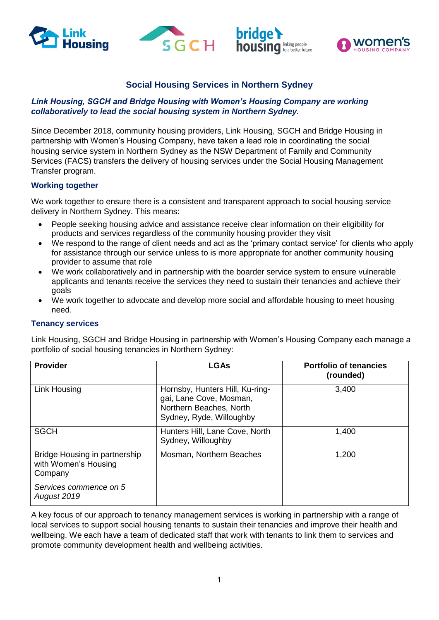







# **Social Housing Services in Northern Sydney**

### *Link Housing, SGCH and Bridge Housing with Women's Housing Company are working collaboratively to lead the social housing system in Northern Sydney.*

Since December 2018, community housing providers, Link Housing, SGCH and Bridge Housing in partnership with Women's Housing Company, have taken a lead role in coordinating the social housing service system in Northern Sydney as the NSW Department of Family and Community Services (FACS) transfers the delivery of housing services under the Social Housing Management Transfer program.

## **Working together**

We work together to ensure there is a consistent and transparent approach to social housing service delivery in Northern Sydney. This means:

- People seeking housing advice and assistance receive clear information on their eligibility for products and services regardless of the community housing provider they visit
- We respond to the range of client needs and act as the 'primary contact service' for clients who apply for assistance through our service unless to is more appropriate for another community housing provider to assume that role
- We work collaboratively and in partnership with the boarder service system to ensure vulnerable applicants and tenants receive the services they need to sustain their tenancies and achieve their goals
- We work together to advocate and develop more social and affordable housing to meet housing need.

### **Tenancy services**

Link Housing, SGCH and Bridge Housing in partnership with Women's Housing Company each manage a portfolio of social housing tenancies in Northern Sydney:

| <b>Provider</b>                                                  | <b>LGAs</b>                                                                                                       | <b>Portfolio of tenancies</b><br>(rounded) |
|------------------------------------------------------------------|-------------------------------------------------------------------------------------------------------------------|--------------------------------------------|
| Link Housing                                                     | Hornsby, Hunters Hill, Ku-ring-<br>gai, Lane Cove, Mosman,<br>Northern Beaches, North<br>Sydney, Ryde, Willoughby | 3,400                                      |
| <b>SGCH</b>                                                      | Hunters Hill, Lane Cove, North<br>Sydney, Willoughby                                                              | 1,400                                      |
| Bridge Housing in partnership<br>with Women's Housing<br>Company | Mosman, Northern Beaches                                                                                          | 1,200                                      |
| Services commence on 5<br>August 2019                            |                                                                                                                   |                                            |

A key focus of our approach to tenancy management services is working in partnership with a range of local services to support social housing tenants to sustain their tenancies and improve their health and wellbeing. We each have a team of dedicated staff that work with tenants to link them to services and promote community development health and wellbeing activities.